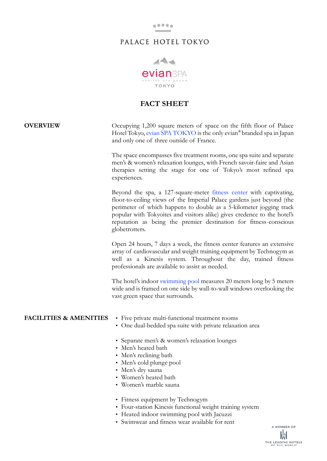

## PALACE HOTEL TOKYO



### **FACT SHEET**

# **OVERVIEW** Occupying 1,200 square meters of space on the fifth floor of Palace Hotel Tokyo, [evian SPA TOKYO](http://en.palacehoteltokyo.com/evian-spa-tokyo/) is the only evian® branded spa in Japan and only one of three outside of France. The space encompasses five treatment rooms, one spa suite and separate men's & women's relaxation lounges, with French savoir-faire and Asian therapies setting the stage for one of Tokyo's most refined spa experiences. Beyond the spa, a 127-square-meter [fitness center](http://en.palacehoteltokyo.com/evian-spa-tokyo/fitness-center/) with captivating, floor-to-ceiling views of the Imperial Palace gardens just beyond (the perimeter of which happens to double as a 5-kilometer jogging track popular with Tokyoites and visitors alike) gives credence to the hotel's reputation as being the premier destination for fitness-conscious globetrotters. Open 24 hours, 7 days a week, the fitness center features an extensive array of cardiovascular and weight training equipment by Technogym as well as a Kinesis system. Throughout the day, trained fitness professionals are available to assist as needed. The hotel's indoor [swimming pool](http://en.palacehoteltokyo.com/evian-spa-tokyo/fitness-center/) measures 20 meters long by 5 meters wide and is framed on one side by wall-to-wall windows overlooking the vast green space that surrounds. FACILITIES & AMENITIES • Five private multi-functional treatment rooms • One dual-bedded spa suite with private relaxation area • Separate men's & women's relaxation lounges • Men's heated bath • Men's reclining bath • Men's cold plunge pool • Men's dry sauna • Women's heated bath • Women's marble sauna • Fitness equipment by Technogym • Four-station Kinesis functional weight training system

- Heated indoor swimming pool with Jacuzzi
- Swimwear and fitness wear available for rent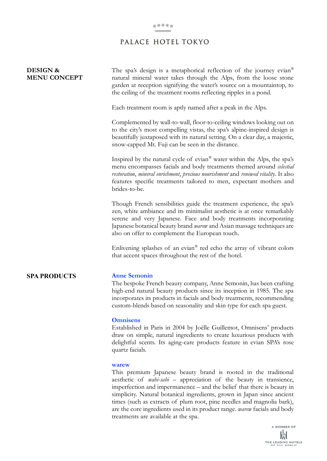### PALACE HOTEL TOKYO

| <b>DESIGN &amp;</b><br><b>MENU CONCEPT</b> | The spa's design is a metaphorical reflection of the journey evian®<br>natural mineral water takes through the Alps, from the loose stone<br>garden at reception signifying the water's source on a mountaintop, to                                                                                                                                     |
|--------------------------------------------|---------------------------------------------------------------------------------------------------------------------------------------------------------------------------------------------------------------------------------------------------------------------------------------------------------------------------------------------------------|
|                                            | the ceiling of the treatment rooms reflecting ripples in a pond.                                                                                                                                                                                                                                                                                        |
|                                            | Each treatment room is aptly named after a peak in the Alps.                                                                                                                                                                                                                                                                                            |
|                                            | Complemented by wall-to-wall, floor-to-ceiling windows looking out on<br>to the city's most compelling vistas, the spa's alpine-inspired design is<br>beautifully juxtaposed with its natural setting. On a clear day, a majestic,<br>snow-capped Mt. Fuji can be seen in the distance.                                                                 |
|                                            | Inspired by the natural cycle of evian <sup>®</sup> water within the Alps, the spa's<br>menu encompasses facials and body treatments themed around celestial<br>restoration, mineral enrichment, precious nourishment and renewed vitality. It also<br>features specific treatments tailored to men, expectant mothers and<br>brides-to-be.             |
|                                            | Though French sensibilities guide the treatment experience, the spa's<br>zen, white ambiance and its minimalist aesthetic is at once remarkably<br>serene and very Japanese. Face and body treatments incorporating<br>Japanese botanical beauty brand <i>warew</i> and Asian massage techniques are<br>also on offer to complement the European touch. |
|                                            | Enlivening splashes of an evian® red echo the array of vibrant colors<br>that accent spaces throughout the rest of the hotel.                                                                                                                                                                                                                           |
| <b>SPA PRODUCTS</b>                        | <b>Anne Semonin</b><br>The bespoke French beauty company, Anne Semonin, has been crafting<br>high-end natural beauty products since its inception in 1985. The spa<br>incorporates its products in facials and body treatments, recommending<br>custom-blends based on seasonality and skin type for each spa guest.                                    |
|                                            | <b>Omnisens</b><br>Established in Paris in 2004 by Joëlle Guillemot, Omnisens' products<br>draw on simple, natural ingredients to create luxurious products with<br>delightful scents. Its aging-care products feature in evian SPA's rose<br>quartz facials.                                                                                           |
|                                            | warew<br>This premium Japanese beauty brand is rooted in the traditional                                                                                                                                                                                                                                                                                |

This premium Japanese beauty brand is rooted in the traditional aesthetic of *wabi-sabi* – appreciation of the beauty in transience, imperfection and impermanence – and the belief that there is beauty in simplicity. Natural botanical ingredients, grown in Japan since ancient times (such as extracts of plum root, pine needles and magnolia bark), are the core ingredients used in its product range. *warew* facials and body treatments are available at the spa.

> A MEMBER OF  $\mathbb{H}^{\mathbb{L}}$ THE LEADING HOTELS<br>OF THE WORLD<sup>\*</sup>